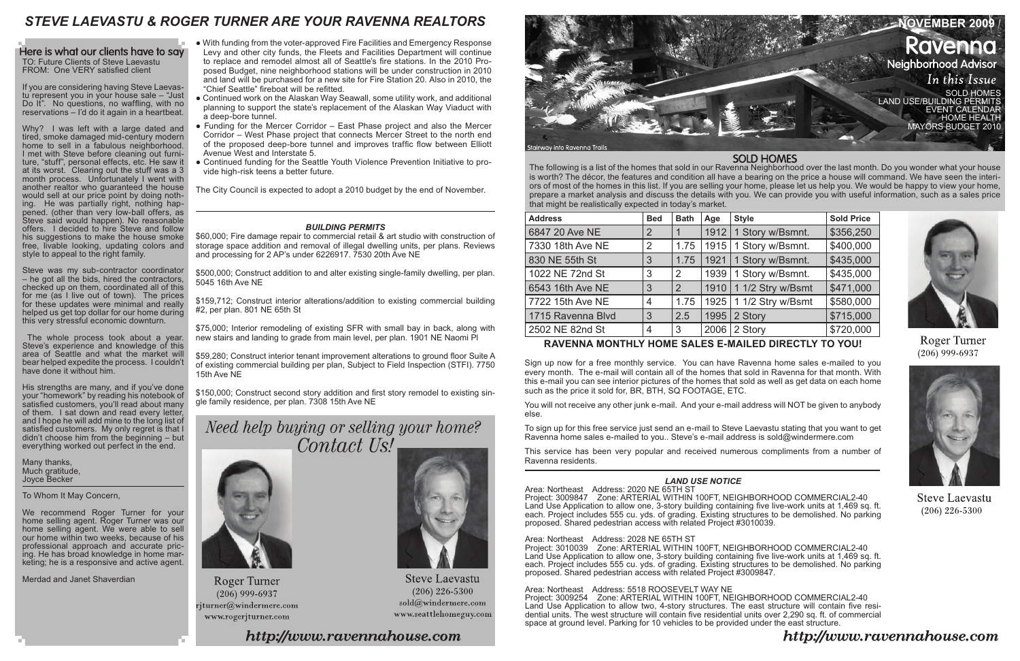The following is a list of the homes that sold in our Ravenna Neighborhood over the last month. Do you wonder what your house is worth? The décor, the features and condition all have a bearing on the price a house will command. We have seen the interiors of most of the homes in this list. If you are selling your home, please let us help you. We would be happy to view your home, prepare a market analysis and discuss the details with you. We can provide you with useful information, such as a sales price that might be realistically expected in today's market.

| <b>Address</b>    | <b>Bed</b>     | <b>Bath</b>    | Age  | <b>Style</b>             | <b>Sold Price</b> |
|-------------------|----------------|----------------|------|--------------------------|-------------------|
| 6847 20 Ave NE    | $\overline{2}$ |                | 1912 | 1 Story w/Bsmnt.         | \$356,250         |
| 7330 18th Ave NE  | 2              | 1.75           | 1915 | 1 Story w/Bsmnt.         | \$400,000         |
| 830 NE 55th St    | 3              | 1.75           | 1921 | 1 Story w/Bsmnt.         | \$435,000         |
| 1022 NE 72nd St   | 3              | 2              | 1939 | 1 Story w/Bsmnt.         | \$435,000         |
| 6543 16th Ave NE  | 3              | $\overline{2}$ | 1910 | 1 1/2 Stry w/Bsmt        | \$471,000         |
| 7722 15th Ave NE  | 4              | 1.75           |      | 1925   1 1/2 Stry w/Bsmt | \$580,000         |
| 1715 Ravenna Blvd | 3              | 2.5            | 1995 | 2 Story                  | \$715,000         |
| 2502 NE 82nd St   | 4              | 3              | 2006 | 2 Story                  | \$720,000         |



Here is what our clients have to say TO: Future Clients of Steve Laevastu FROM: One VERY satisfied client

# **RAVENNA MONTHLY HOME SALES E-MAILED DIRECTLY TO YOU!**

Sign up now for a free monthly service. You can have Ravenna home sales e-mailed to you every month. The e-mail will contain all of the homes that sold in Ravenna for that month. With this e-mail you can see interior pictures of the homes that sold as well as get data on each home such as the price it sold for, BR, BTH, SQ FOOTAGE, ETC.

You will not receive any other junk e-mail. And your e-mail address will NOT be given to anybody else.

To sign up for this free service just send an e-mail to Steve Laevastu stating that you want to get Ravenna home sales e-mailed to you.. Steve's e-mail address is sold@windermere.com

This service has been very popular and received numerous compliments from a number of Ravenna residents.

We recommend Roger Turner for your home selling agent. Roger Turner was our home selling agent. We were able to sell our home within two weeks, because of his professional approach and accurate pricing. He has broad knowledge in home marketing; he is a responsive and active agent.

If you are considering having Steve Laevastu represent you in your house sale – "Just Do It". No questions, no waffling, with no reservations – I'd do it again in a heartbeat.

Why? I was left with a large dated and tired, smoke damaged mid-century modern home to sell in a fabulous neighborhood. I met with Steve before cleaning out furniture, "stuff", personal effects, etc. He saw it at its worst. Clearing out the stuff was a 3 month process. Unfortunately I went with another realtor who guaranteed the house would sell at our price point by doing nothing. He was partially right, nothing happened. (other than very low-ball offers, as Steve said would happen). No reasonable offers. I decided to hire Steve and follow his suggestions to make the house smoke free, livable looking, updating colors and style to appeal to the right family.

Steve was my sub-contractor coordinator – he got all the bids, hired the contractors, checked up on them, coordinated all of this for me (as I live out of town). The prices for these updates were minimal and really helped us get top dollar for our home during this very stressful economic downturn.

 The whole process took about a year. Steve's experience and knowledge of this area of Seattle and what the market will bear helped expedite the process. I couldn't have done it without him.

His strengths are many, and if you've done your "homework" by reading his notebook of satisfied customers, you'll read about many of them. I sat down and read every letter, and I hope he will add mine to the long list of satisfied customers. My only regret is that I didn't choose him from the beginning – but everything worked out perfect in the end.

Many thanks, Much gratitude, Joyce Becker

To Whom It May Concern,

Merdad and Janet Shaverdian

# *LAND USE NOTICE*

Area: Northeast Address: 2020 NE 65TH ST Project: 3009847 Zone: ARTERIAL WITHIN 100FT, NEIGHBORHOOD COMMERCIAL2-40 Land Use Application to allow one, 3-story building containing five live-work units at 1,469 sq. ft. each. Project includes 555 cu. yds. of grading. Existing structures to be demolished. No parking proposed. Shared pedestrian access with related Project #3010039.

Area: Northeast Address: 2028 NE 65TH ST Project: 3010039 Zone: ARTERIAL WITHIN 100FT, NEIGHBORHOOD COMMERCIAL2-40 Land Use Application to allow one, 3-story building containing five live-work units at 1,469 sq. ft. each. Project includes 555 cu. yds. of grading. Existing structures to be demolished. No parking proposed. Shared pedestrian access with related Project #3009847.

Area: Northeast Address: 5518 ROOSEVELT WAY NE Project: 3009254 Zone: ARTERIAL WITHIN 100FT, NEIGHBORHOOD COMMERCIAL2-40 Land Use Application to allow two, 4-story structures. The east structure will contain five residential units. The west structure will contain five residential units over 2,290 sq. ft. of commercial space at ground level. Parking for 10 vehicles to be provided under the east structure.

# **SOLD HOMES**



Roger Turner  $(206)$  999-6937



**Steve Laevastu**  $(206)$  226-5300

# http://www.ravennahouse.com

### *BUILDING PERMITS*

\$60,000; Fire damage repair to commercial retail & art studio with construction of storage space addition and removal of illegal dwelling units, per plans. Reviews and processing for 2 AP's under 6226917. 7530 20th Ave NE

\$500,000; Construct addition to and alter existing single-family dwelling, per plan. 5045 16th Ave NE

\$159,712; Construct interior alterations/addition to existing commercial building #2, per plan. 801 NE 65th St

\$75,000; Interior remodeling of existing SFR with small bay in back, along with new stairs and landing to grade from main level, per plan. 1901 NE Naomi Pl

\$59,280; Construct interior tenant improvement alterations to ground floor Suite A of existing commercial building per plan, Subject to Field Inspection (STFI). 7750 15th Ave NE

\$150,000; Construct second story addition and first story remodel to existing single family residence, per plan. 7308 15th Ave NE

Need help buying or selling your home? Contact Us!



**Roger Turner**  $(206)$  999-6937  $\mathbf{r}$ jturner $@$ windermere.com www.rogerjturner.com



**Steve Laevastu**  $(206)$  226-5300  $\text{solid}(\widehat{a})$  windermere.com www.seattlehomeguy.com

http://www.ravennahouse.com

- With funding from the voter-approved Fire Facilities and Emergency Response Levy and other city funds, the Fleets and Facilities Department will continue to replace and remodel almost all of Seattle's fire stations. In the 2010 Proposed Budget, nine neighborhood stations will be under construction in 2010 and land will be purchased for a new site for Fire Station 20. Also in 2010, the "Chief Seattle" fireboat will be refitted.
- Continued work on the Alaskan Way Seawall, some utility work, and additional planning to support the state's replacement of the Alaskan Way Viaduct with a deep-bore tunnel.
- Funding for the Mercer Corridor East Phase project and also the Mercer Corridor – West Phase project that connects Mercer Street to the north end of the proposed deep-bore tunnel and improves traffic flow between Elliott Avenue West and Interstate 5.
- Continued funding for the Seattle Youth Violence Prevention Initiative to provide high-risk teens a better future.

The City Council is expected to adopt a 2010 budget by the end of November.